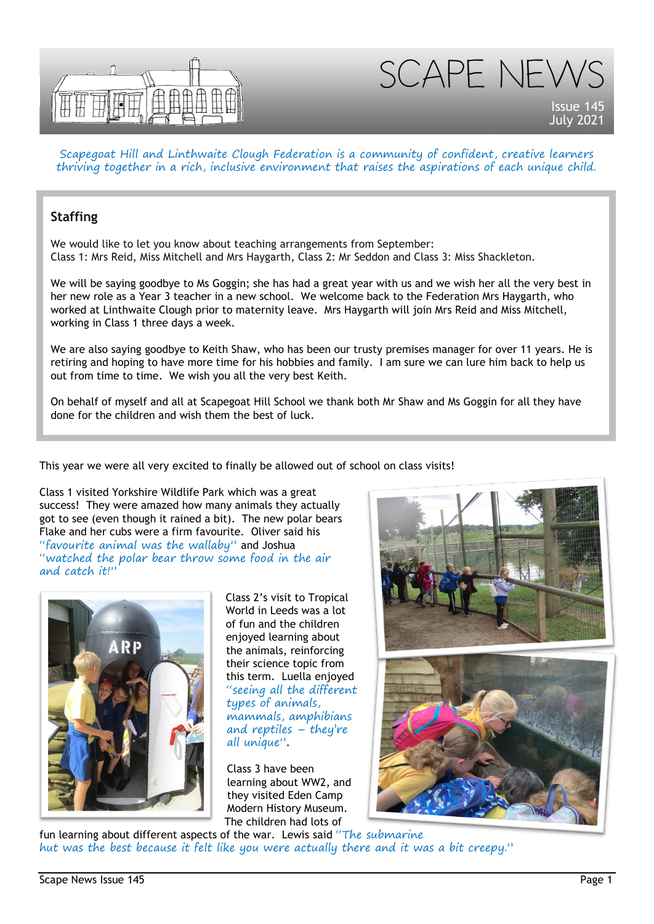



Scapegoat Hill and Linthwaite Clough Federation is a community of confident, creative learners thriving together in a rich, inclusive environment that raises the aspirations of each unique child.

## **Staffing**

We would like to let you know about teaching arrangements from September: Class 1: Mrs Reid, Miss Mitchell and Mrs Haygarth, Class 2: Mr Seddon and Class 3: Miss Shackleton.

We will be saying goodbye to Ms Goggin; she has had a great year with us and we wish her all the very best in her new role as a Year 3 teacher in a new school. We welcome back to the Federation Mrs Haygarth, who worked at Linthwaite Clough prior to maternity leave. Mrs Haygarth will join Mrs Reid and Miss Mitchell, working in Class 1 three days a week.

We are also saying goodbye to Keith Shaw, who has been our trusty premises manager for over 11 years. He is retiring and hoping to have more time for his hobbies and family. I am sure we can lure him back to help us out from time to time. We wish you all the very best Keith.

On behalf of myself and all at Scapegoat Hill School we thank both Mr Shaw and Ms Goggin for all they have done for the children and wish them the best of luck.

This year we were all very excited to finally be allowed out of school on class visits!

Class 1 visited Yorkshire Wildlife Park which was a great success! They were amazed how many animals they actually got to see (even though it rained a bit). The new polar bears Flake and her cubs were a firm favourite. Oliver said his "favourite animal was the wallaby" and Joshua "watched the polar bear throw some food in the air and catch it!"



Class 2's visit to Tropical World in Leeds was a lot of fun and the children enjoyed learning about the animals, reinforcing their science topic from this term. Luella enjoyed "seeing all the different types of animals, mammals, amphibians and reptiles – they're all unique".

Class 3 have been learning about WW2, and they visited Eden Camp Modern History Museum. The children had lots of





fun learning about different aspects of the war. Lewis said "The submarine hut was the best because it felt like you were actually there and it was a bit creepy."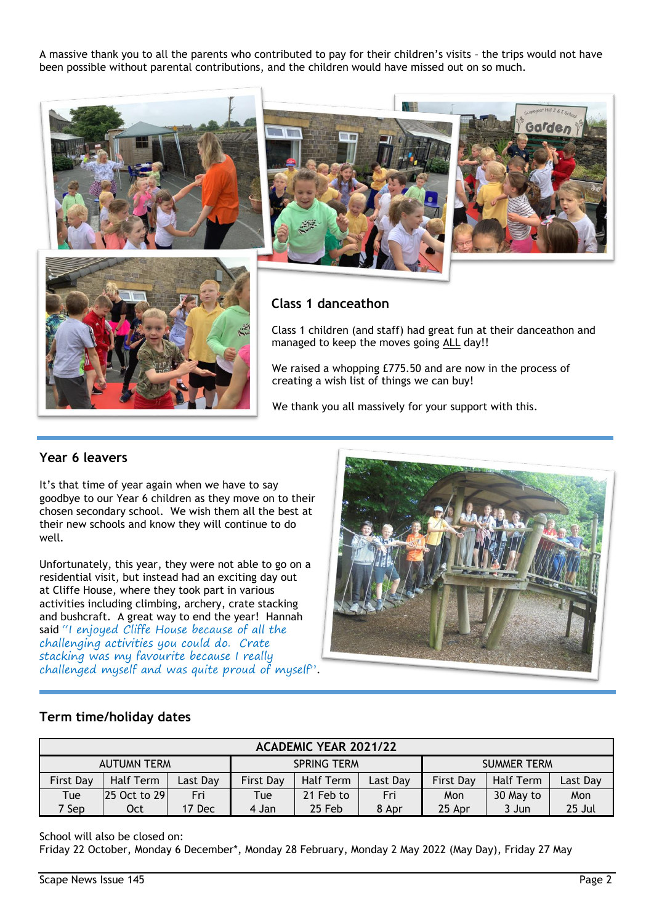A massive thank you to all the parents who contributed to pay for their children's visits – the trips would not have been possible without parental contributions, and the children would have missed out on so much.



# **Class 1 danceathon**

Class 1 children (and staff) had great fun at their danceathon and managed to keep the moves going ALL day!!

We raised a whopping £775.50 and are now in the process of creating a wish list of things we can buy!

We thank you all massively for your support with this.

### **Year 6 leavers**

It's that time of year again when we have to say goodbye to our Year 6 children as they move on to their chosen secondary school. We wish them all the best at their new schools and know they will continue to do well.

Unfortunately, this year, they were not able to go on a residential visit, but instead had an exciting day out at Cliffe House, where they took part in various activities including climbing, archery, crate stacking and bushcraft. A great way to end the year! Hannah said "I enjoyed Cliffe House because of all the challenging activities you could do. Crate stacking was my favourite because I really challenged myself and was quite proud of myself".



#### **Term time/holiday dates**

| <b>ACADEMIC YEAR 2021/22</b> |              |          |                    |           |          |                    |                  |          |
|------------------------------|--------------|----------|--------------------|-----------|----------|--------------------|------------------|----------|
| <b>AUTUMN TERM</b>           |              |          | <b>SPRING TERM</b> |           |          | <b>SUMMER TERM</b> |                  |          |
| <b>First Day</b>             | Half Term    | Last Day | <b>First Day</b>   | Half Term | Last Day | <b>First Day</b>   | <b>Half Term</b> | Last Day |
| Tue                          | 25 Oct to 29 | Fri      | Tue                | 21 Feb to | Fri      | Mon                | 30 May to        | Mon      |
| 7 Sep                        | Oct          | 17 Dec   | 4 Jan              | 25 Feb    | 8 Apr    | 25 Apr             | 3 Jun            | 25 Jul   |

School will also be closed on:

Friday 22 October, Monday 6 December\*, Monday 28 February, Monday 2 May 2022 (May Day), Friday 27 May